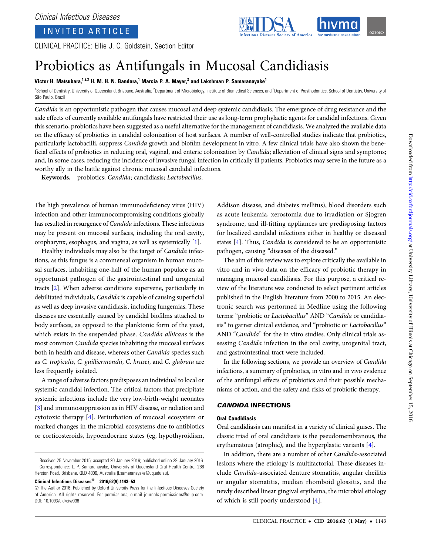## INVITED ARTICLE

CLINICAL PRACTICE: Ellie J. C. Goldstein, Section Editor

# Probiotics as Antifungals in Mucosal Candidiasis

## Victor H. Matsubara,<sup>1,2,3</sup> H. M. H. N. Bandara,<sup>1</sup> Marcia P. A. Mayer,<sup>2</sup> and Lakshman P. Samaranayake<sup>1</sup>

<sup>1</sup>School of Dentistry, University of Queensland, Brisbane, Australia; <sup>2</sup>Department of Microbiology, Institute of Biomedical Sciences, and <sup>3</sup>Department of Prosthodontics, School of Dentistry, University of São Paulo, Brazil

Candida is an opportunistic pathogen that causes mucosal and deep systemic candidiasis. The emergence of drug resistance and the side effects of currently available antifungals have restricted their use as long-term prophylactic agents for candidal infections. Given this scenario, probiotics have been suggested as a useful alternative for the management of candidiasis. We analyzed the available data on the efficacy of probiotics in candidal colonization of host surfaces. A number of well-controlled studies indicate that probiotics, particularly lactobacilli, suppress Candida growth and biofilm development in vitro. A few clinical trials have also shown the beneficial effects of probiotics in reducing oral, vaginal, and enteric colonization by *Candida*; alleviation of clinical signs and symptoms; and, in some cases, reducing the incidence of invasive fungal infection in critically ill patients. Probiotics may serve in the future as a worthy ally in the battle against chronic mucosal candidal infections.

Keywords. probiotics; Candida; candidiasis; Lactobacillus.

The high prevalence of human immunodeficiency virus (HIV) infection and other immunocompromising conditions globally has resulted in resurgence of Candida infections. These infections may be present on mucosal surfaces, including the oral cavity, oropharynx, esophagus, and vagina, as well as systemically [\[1](#page-9-0)].

Healthy individuals may also be the target of Candida infections, as this fungus is a commensal organism in human mucosal surfaces, inhabiting one-half of the human populace as an opportunist pathogen of the gastrointestinal and urogenital tracts [[2](#page-9-0)]. When adverse conditions supervene, particularly in debilitated individuals, Candida is capable of causing superficial as well as deep invasive candidiasis, including fungemias. These diseases are essentially caused by candidal biofilms attached to body surfaces, as opposed to the planktonic form of the yeast, which exists in the suspended phase. Candida albicans is the most common Candida species inhabiting the mucosal surfaces both in health and disease, whereas other Candida species such as C. tropicalis, C. guilliermondii, C. krusei, and C. glabrata are less frequently isolated.

A range of adverse factors predisposes an individual to local or systemic candidal infection. The critical factors that precipitate systemic infections include the very low-birth-weight neonates [\[3\]](#page-9-0) and immunosuppression as in HIV disease, or radiation and cytotoxic therapy [\[4](#page-9-0)]. Perturbation of mucosal ecosystem or marked changes in the microbial ecosystems due to antibiotics or corticosteroids, hypoendocrine states (eg, hypothyroidism,

Clinical Infectious Diseases® 2016;62(9):1143–53

Addison disease, and diabetes mellitus), blood disorders such as acute leukemia, xerostomia due to irradiation or Sjogren syndrome, and ill-fitting appliances are predisposing factors for localized candidal infections either in healthy or diseased states [[4](#page-9-0)]. Thus, Candida is considered to be an opportunistic pathogen, causing "diseases of the diseased."

The aim of this review was to explore critically the available in vitro and in vivo data on the efficacy of probiotic therapy in managing mucosal candidiasis. For this purpose, a critical review of the literature was conducted to select pertinent articles published in the English literature from 2000 to 2015. An electronic search was performed in Medline using the following terms: "probiotic or Lactobacillus" AND "Candida or candidiasis" to garner clinical evidence, and "probiotic or Lactobacillus" AND "Candida" for the in vitro studies. Only clinical trials assessing Candida infection in the oral cavity, urogenital tract, and gastrointestinal tract were included.

In the following sections, we provide an overview of Candida infections, a summary of probiotics, in vitro and in vivo evidence of the antifungal effects of probiotics and their possible mechanisms of action, and the safety and risks of probiotic therapy.

## CANDIDA INFECTIONS

## Oral Candidiasis

Oral candidiasis can manifest in a variety of clinical guises. The classic triad of oral candidiasis is the pseudomembranous, the erythematous (atrophic), and the hyperplastic variants [[4](#page-9-0)].

In addition, there are a number of other Candida-associated lesions where the etiology is multifactorial. These diseases include Candida-associated denture stomatitis, angular cheilitis or angular stomatitis, median rhomboid glossitis, and the newly described linear gingival erythema, the microbial etiology of which is still poorly understood [[4](#page-9-0)].

Received 25 November 2015; accepted 20 January 2016; published online 29 January 2016. Correspondence: L. P. Samaranayake, University of Queensland Oral Health Centre, 288 Herston Road, Brisbane, QLD 4006, Australia ([l.samaranayake@uq.edu.au](mailto:l.samaranayake@uq.edu.au)).

<sup>©</sup> The Author 2016. Published by Oxford University Press for the Infectious Diseases Society of America. All rights reserved. For permissions, e-mail [journals.permissions@oup.com](mailto:journals.permissions@oup.com). DOI: 10.1093/cid/ciw038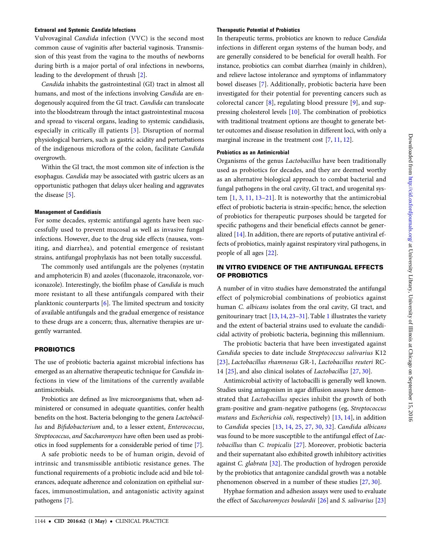## Extraoral and Systemic Candida Infections

Vulvovaginal Candida infection (VVC) is the second most common cause of vaginitis after bacterial vaginosis. Transmission of this yeast from the vagina to the mouths of newborns during birth is a major portal of oral infections in newborns, leading to the development of thrush [[2](#page-9-0)].

Candida inhabits the gastrointestinal (GI) tract in almost all humans, and most of the infections involving Candida are endogenously acquired from the GI tract. Candida can translocate into the bloodstream through the intact gastrointestinal mucosa and spread to visceral organs, leading to systemic candidiasis, especially in critically ill patients [[3\]](#page-9-0). Disruption of normal physiological barriers, such as gastric acidity and perturbations of the indigenous microflora of the colon, facilitate Candida overgrowth.

Within the GI tract, the most common site of infection is the esophagus. Candida may be associated with gastric ulcers as an opportunistic pathogen that delays ulcer healing and aggravates the disease [\[5\]](#page-9-0).

## Management of Candidiasis

For some decades, systemic antifungal agents have been successfully used to prevent mucosal as well as invasive fungal infections. However, due to the drug side effects (nausea, vomiting, and diarrhea), and potential emergence of resistant strains, antifungal prophylaxis has not been totally successful.

The commonly used antifungals are the polyenes (nystatin and amphotericin B) and azoles (fluconazole, itraconazole, voriconazole). Interestingly, the biofilm phase of Candida is much more resistant to all these antifungals compared with their planktonic counterparts [[6](#page-9-0)]. The limited spectrum and toxicity of available antifungals and the gradual emergence of resistance to these drugs are a concern; thus, alternative therapies are urgently warranted.

## PROBIOTICS

The use of probiotic bacteria against microbial infections has emerged as an alternative therapeutic technique for Candida infections in view of the limitations of the currently available antimicrobials.

Probiotics are defined as live microorganisms that, when administered or consumed in adequate quantities, confer health benefits on the host. Bacteria belonging to the genera Lactobacillus and Bifidobacterium and, to a lesser extent, Enterococcus, Streptococcus, and Saccharomyces have often been used as probiotics in food supplements for a considerable period of time [\[7\]](#page-9-0).

A safe probiotic needs to be of human origin, devoid of intrinsic and transmissible antibiotic resistance genes. The functional requirements of a probiotic include acid and bile tolerances, adequate adherence and colonization on epithelial surfaces, immunostimulation, and antagonistic activity against pathogens [[7](#page-9-0)].

## Therapeutic Potential of Probiotics

In therapeutic terms, probiotics are known to reduce Candida infections in different organ systems of the human body, and are generally considered to be beneficial for overall health. For instance, probiotics can combat diarrhea (mainly in children), and relieve lactose intolerance and symptoms of inflammatory bowel diseases [\[7](#page-9-0)]. Additionally, probiotic bacteria have been investigated for their potential for preventing cancers such as colorectal cancer [[8](#page-9-0)], regulating blood pressure [\[9](#page-9-0)], and suppressing cholesterol levels [[10\]](#page-9-0). The combination of probiotics with traditional treatment options are thought to generate better outcomes and disease resolution in different loci, with only a marginal increase in the treatment cost [\[7,](#page-9-0) [11](#page-9-0), [12](#page-9-0)].

## Probiotics as an Antimicrobial

Organisms of the genus Lactobacillus have been traditionally used as probiotics for decades, and they are deemed worthy as an alternative biological approach to combat bacterial and fungal pathogens in the oral cavity, GI tract, and urogenital system  $\left[1, 3, 11, 13-21\right]$  $\left[1, 3, 11, 13-21\right]$  $\left[1, 3, 11, 13-21\right]$  $\left[1, 3, 11, 13-21\right]$  $\left[1, 3, 11, 13-21\right]$  $\left[1, 3, 11, 13-21\right]$  $\left[1, 3, 11, 13-21\right]$  $\left[1, 3, 11, 13-21\right]$  $\left[1, 3, 11, 13-21\right]$ . It is noteworthy that the antimicrobial effect of probiotic bacteria is strain-specific; hence, the selection of probiotics for therapeutic purposes should be targeted for specific pathogens and their beneficial effects cannot be generalized [\[14](#page-9-0)]. In addition, there are reports of putative antiviral effects of probiotics, mainly against respiratory viral pathogens, in people of all ages [\[22](#page-10-0)].

## IN VITRO EVIDENCE OF THE ANTIFUNGAL EFFECTS OF PROBIOTICS

A number of in vitro studies have demonstrated the antifungal effect of polymicrobial combinations of probiotics against human C. albicans isolates from the oral cavity, GI tract, and genitourinary tract [[13,](#page-9-0) [14](#page-9-0), [23](#page-10-0)–[31\]](#page-10-0). Table [1](#page-2-0) illustrates the variety and the extent of bacterial strains used to evaluate the candidicidal activity of probiotic bacteria, beginning this millennium.

The probiotic bacteria that have been investigated against Candida species to date include Streptococcus salivarius K12 [\[23](#page-10-0)], Lactobacillus rhamnosus GR-1, Lactobacillus reuteri RC-14 [\[25](#page-10-0)], and also clinical isolates of Lactobacillus [\[27](#page-10-0), [30\]](#page-10-0).

Antimicrobial activity of lactobacilli is generally well known. Studies using antagonism in agar diffusion assays have demonstrated that Lactobacillus species inhibit the growth of both gram-positive and gram-negative pathogens (eg, Streptococcus mutans and *Escherichia coli*, respectively)  $[13, 14]$  $[13, 14]$  $[13, 14]$  $[13, 14]$ , in addition to Candida species [[13](#page-9-0), [14,](#page-9-0) [25,](#page-10-0) [27,](#page-10-0) [30](#page-10-0), [32](#page-10-0)]. Candida albicans was found to be more susceptible to the antifungal effect of Lactobacillus than C. tropicalis [[27\]](#page-10-0). Moreover, probiotic bacteria and their supernatant also exhibited growth inhibitory activities against C. glabrata [\[32](#page-10-0)]. The production of hydrogen peroxide by the probiotics that antagonize candidal growth was a notable phenomenon observed in a number of these studies [[27,](#page-10-0) [30](#page-10-0)].

Hyphae formation and adhesion assays were used to evaluate the effect of Saccharomyces boulardii [\[26](#page-10-0)] and S. salivarius [[23\]](#page-10-0)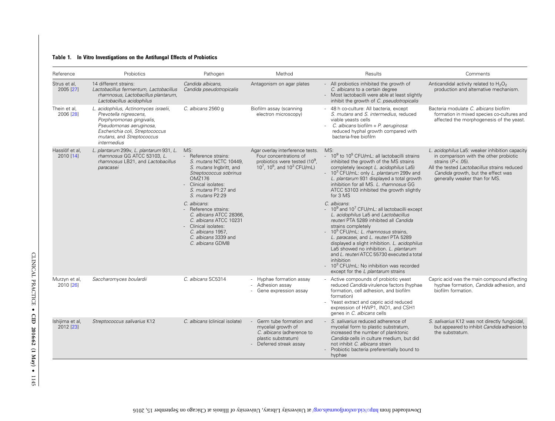## <span id="page-2-0"></span>Table 1. In Vitro Investigations on the Antifungal Effects of Probiotics

| Reference                    | Probiotics                                                                                                                                                                                                    | Pathogen                                                                                                                                                                                     | Method                                                                                                                                          | Results                                                                                                                                                                                                                                                                                                                                                                                                                                                                                                                            | Comments                                                                                                                                                                                                                                 |
|------------------------------|---------------------------------------------------------------------------------------------------------------------------------------------------------------------------------------------------------------|----------------------------------------------------------------------------------------------------------------------------------------------------------------------------------------------|-------------------------------------------------------------------------------------------------------------------------------------------------|------------------------------------------------------------------------------------------------------------------------------------------------------------------------------------------------------------------------------------------------------------------------------------------------------------------------------------------------------------------------------------------------------------------------------------------------------------------------------------------------------------------------------------|------------------------------------------------------------------------------------------------------------------------------------------------------------------------------------------------------------------------------------------|
| Strus et al,<br>2005 [27]    | 14 different strains:<br>Lactobacillus fermentum, Lactobacillus<br>rhamnosus, Lactobacillus plantarum,<br>Lactobacillus acidophilus                                                                           | Candida albicans,<br>Candida pseudotropicalis                                                                                                                                                | Antagonism on agar plates                                                                                                                       | - All probiotics inhibited the growth of<br>C. albicans to a certain degree<br>- Most lactobacilli were able at least slightly<br>inhibit the growth of C. pseudotropicalis                                                                                                                                                                                                                                                                                                                                                        | Anticandidal activity related to H <sub>2</sub> O <sub>2</sub><br>production and alternative mechanism.                                                                                                                                  |
| Thein et al,<br>2006 [28]    | L. acidophilus, Actinomyces israelii,<br>Prevotella nigrescens,<br>Porphyromonas gingivalis,<br>Pseudomonas aeruginosa,<br>Escherichia coli, Streptococcus<br>mutans, and Streptococcus<br><i>intermedius</i> | C. albicans 2560 g                                                                                                                                                                           | Biofilm assay (scanning<br>electron microscopy)                                                                                                 | - 48 h co-culture: All bacteria, except<br>S. mutans and S. intermedius, reduced<br>viable yeasts cells<br>C. albicans biofilm + P. aeruginosa:<br>reduced hyphal growth compared with<br>bacteria-free biofilm                                                                                                                                                                                                                                                                                                                    | Bacteria modulate C. albicans biofilm<br>formation in mixed species co-cultures and<br>affected the morphogenesis of the yeast.                                                                                                          |
| Hasslöf et al,<br>2010 [14]  | L. plantarum 299v, L. plantarum 931, L.<br>rhamnosus GG ATCC 53103, L.<br>rhamnosus LB21, and Lactobacillus<br>paracasei                                                                                      | MS:<br>- Reference strains:<br>S. mutans NCTC 10449,<br>S. mutans Ingbritt, and<br>Streptococcus sobrinus<br><b>OMZ176</b><br>- Clinical isolates:<br>S. mutans P1:27 and<br>S. mutans P2:29 | Agar overlay interference tests.<br>Four concentrations of<br>probiotics were tested (10 <sup>9</sup> ,<br>$10^7$ , $10^5$ , and $10^3$ CFU/mL) | MS:<br>- 10 <sup>9</sup> to 10 <sup>5</sup> CFU/mL: all lactobacilli strains<br>inhibited the growth of the MS strains<br>completely (except L. acidophilus La5)<br>10 <sup>3</sup> CFU/mL: only L. plantarum 299v and<br>L. plantarum 931 displayed a total growth<br>inhibition for all MS. L. rhamnosus GG<br>ATCC 53103 inhibited the growth slightly<br>for 3 MS                                                                                                                                                              | L. acidophilus La5: weaker inhibition capacity<br>in comparison with the other probiotic<br>strains $(P < .05)$ .<br>All the tested Lactobacillus strains reduced<br>Candida growth, but the effect was<br>generally weaker than for MS. |
|                              |                                                                                                                                                                                                               | C. albicans:<br>- Reference strains:<br>C. albicans ATCC 28366.<br>C. albicans ATCC 10231<br>- Clinical isolates:<br>C. albicans 1957,<br>C. albicans 3339 and<br>C. albicans GDM8           |                                                                                                                                                 | C. albicans:<br>$-10^9$ and $10^7$ CFU/mL; all lactobacilli except<br>L. acidophilus La5 and Lactobacillus<br>reuteri PTA 5289 inhibited all Candida<br>strains completely<br>- 10 <sup>5</sup> CFU/mL: <i>L. rhamnosus</i> strains,<br>L. paracasei, and L. reuteri PTA 5289<br>displayed a slight inhibition. L. acidophilus<br>La5 showed no inhibition. L. plantarum<br>and L. reuteri ATCC 55730 executed a total<br>inhibition<br>- 10 <sup>3</sup> CFU/mL: No inhibition was recorded<br>except for the L plantarum strains |                                                                                                                                                                                                                                          |
| Murzyn et al,<br>2010 [26]   | Saccharomyces boulardii                                                                                                                                                                                       | C. albicans SC5314                                                                                                                                                                           | Hyphae formation assay<br>Adhesion assay<br>Gene expression assay                                                                               | Active compounds of probiotic yeast<br>reduced Candida virulence factors (hyphae<br>formation, cell adhesion, and biofilm<br>formation)<br>- Yeast extract and capric acid reduced<br>expression of HWP1, INO1, and CSH1<br>genes in C. albicans cells                                                                                                                                                                                                                                                                             | Capric acid was the main compound affecting<br>hyphae formation, Candida adhesion, and<br>biofilm formation.                                                                                                                             |
| Ishijima et al,<br>2012 [23] | Streptococcus salivarius K12                                                                                                                                                                                  | C. albicans (clinical isolate)                                                                                                                                                               | Germ tube formation and<br>mycelial growth of<br>C. albicans (adherence to<br>plastic substratum)<br>- Deferred streak assay                    | S. salivarius reduced adherence of<br>mycelial form to plastic substratum,<br>increased the number of planktonic<br>Candida cells in culture medium, but did<br>not inhibit C. albicans strain<br>Probiotic bacteria preferentially bound to<br>hyphae                                                                                                                                                                                                                                                                             | S. salivarius K12 was not directly fungicidal,<br>but appeared to inhibit Candida adhesion to<br>the substratum.                                                                                                                         |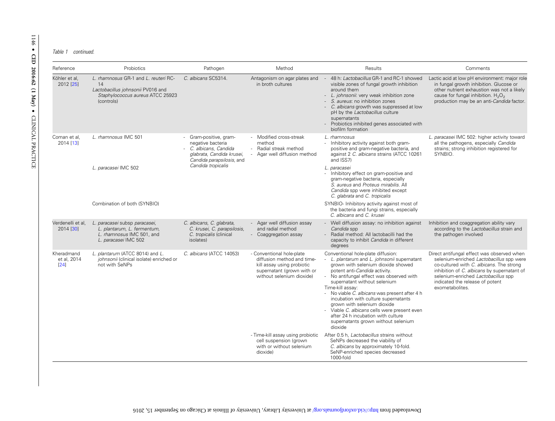#### Table 1 continued.

| Reference                         | Probiotics<br>Pathogen<br>Method<br>Results                                                                                       |                                                                                                                                                     |                                                                                                                                                  | Comments                                                                                                                                                                                                                                                                                                                                                                                                                                                                                                             |                                                                                                                                                                                                                                                                                |  |
|-----------------------------------|-----------------------------------------------------------------------------------------------------------------------------------|-----------------------------------------------------------------------------------------------------------------------------------------------------|--------------------------------------------------------------------------------------------------------------------------------------------------|----------------------------------------------------------------------------------------------------------------------------------------------------------------------------------------------------------------------------------------------------------------------------------------------------------------------------------------------------------------------------------------------------------------------------------------------------------------------------------------------------------------------|--------------------------------------------------------------------------------------------------------------------------------------------------------------------------------------------------------------------------------------------------------------------------------|--|
| Köhler et al,<br>2012 [25]        | L. rhamnosus GR-1 and L. reuteri RC-<br>14<br>Lactobacillus johnsonii PV016 and<br>Staphylococcus aureus ATCC 25923<br>(controls) | C. albicans SC5314.                                                                                                                                 | Antagonism on agar plates and<br>in broth cultures                                                                                               | 48 h: Lactobacillus GR-1 and RC-1 showed<br>visible zones of fungal growth inhibition<br>around them<br>- L. johnsonii: very weak inhibition zone<br>S. aureus: no inhibition zones<br>- C. albicans growth was suppressed at low<br>pH by the Lactobacillus culture<br>supernatants<br>- Probiotics inhibited genes associated with<br>biofilm formation                                                                                                                                                            | Lactic acid at low pH environment: major role<br>in fungal growth inhibition. Glucose or<br>other nutrient exhaustion was not a likely<br>cause for fungal inhibition. H <sub>2</sub> O <sub>2</sub><br>production may be an anti-Candida factor.                              |  |
| Coman et al,<br>2014 [13]         | L. rhamnosus IMC 501<br>L. paracasei IMC 502<br>Combination of both (SYNBIO)                                                      | Gram-positive, gram-<br>negative bacteria<br>- C. albicans, Candida<br>glabrata, Candida krusei,<br>Candida parapsilosis, and<br>Candida tropicalis | Modified cross-streak<br>method<br>- Radial streak method<br>Agar well diffusion method                                                          | L. rhamnosus<br>- Inhibitory activity against both gram-<br>positive and gram-negative bacteria, and<br>against 2 C. albicans strains (ATCC 10261<br>and ISS7)<br>L. paracasei<br>Inhibitory effect on gram-positive and<br>÷.<br>gram-negative bacteria, especially<br>S. aureus and Proteus mirabilis. All<br>Candida spp were inhibited except<br>C. glabrata and C. tropicalis<br>SYNBIO- Inhibitory activity against most of<br>the bacteria and fungi strains, especially                                      | L. paracasei IMC 502: higher activity toward<br>all the pathogens, especially Candida<br>strains; strong inhibition registered for<br>SYNBIO.                                                                                                                                  |  |
|                                   |                                                                                                                                   |                                                                                                                                                     |                                                                                                                                                  | C. albicans and C. krusei                                                                                                                                                                                                                                                                                                                                                                                                                                                                                            |                                                                                                                                                                                                                                                                                |  |
| Verdenelli et al,<br>2014 [30]    | L. paracasei subsp paracasei,<br>L. plantarum, L. fermentum,<br>L. rhamnosus IMC 501, and<br>L. paracasei IMC 502                 | C. albicans, C. glabrata,<br>C. krusei, C. parapsilosis,<br>C. tropicalis (clinical<br><i>isolates</i> )                                            | - Agar well diffusion assay<br>and radial method<br>- Coaggregation assay                                                                        | - Well diffusion assay: no inhibition against<br>Candida spp<br>- Radial method: All lactobacilli had the<br>capacity to inhibit Candida in different<br>degrees                                                                                                                                                                                                                                                                                                                                                     | Inhibition and coaggregation ability vary<br>according to the Lactobacillus strain and<br>the pathogen involved                                                                                                                                                                |  |
| Kheradmand<br>et al, 2014<br>[24] | L. plantarum (ATCC 8014) and L.<br>johnsonii (clinical isolate) enriched or<br>not with SeNPs                                     | C. albicans (ATCC 14053)                                                                                                                            | - Conventional hole-plate<br>diffusion method and time-<br>kill assay using probiotic<br>supernatant (grown with or<br>without selenium dioxide) | Conventional hole-plate diffusion:<br>L. plantarum and L. johnsonii supernatant<br>grown with selenium dioxide showed<br>potent anti-Candida activity.<br>No antifungal effect was observed with<br>supernatant without selenium<br>Time-kill assav:<br>- No viable C. albicans was present after 4 h<br>incubation with culture supernatants<br>grown with selenium dioxide<br>- Viable C. albicans cells were present even<br>after 24 h incubation with culture<br>supernatants grown without selenium<br>dioxide | Direct antifungal effect was observed when<br>selenium-enriched Lactobacillus spp were<br>co-cultured with C. albicans. The strong<br>inhibition of C. albicans by supernatant of<br>selenium-enriched Lactobacillus spp<br>indicated the release of potent<br>exometabolites. |  |
|                                   |                                                                                                                                   |                                                                                                                                                     | - Time-kill assay using probiotic<br>cell suspension (grown<br>with or without selenium<br>dioxide)                                              | After 0.5 h, Lactobacillus strains without<br>SeNPs decreased the viability of<br>C. albicans by approximately 10-fold.<br>SeNP-enriched species decreased<br>$1000-fold$                                                                                                                                                                                                                                                                                                                                            |                                                                                                                                                                                                                                                                                |  |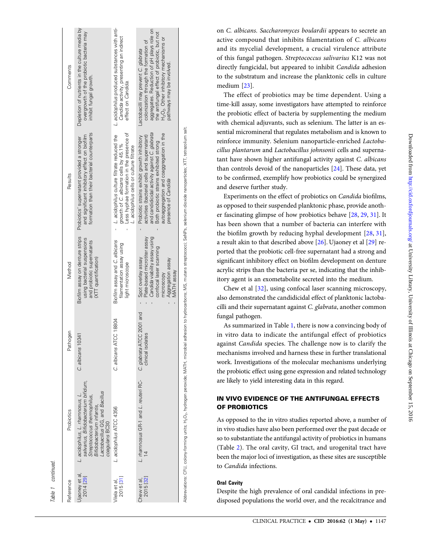| ı, |
|----|

| Table 1 continued.          |                                                                                                                                                                                        |                                                |                                                                                                                                                                 |                                                                                                                                                                                                                                                            |                                                                                                                                                                                                                                                    |
|-----------------------------|----------------------------------------------------------------------------------------------------------------------------------------------------------------------------------------|------------------------------------------------|-----------------------------------------------------------------------------------------------------------------------------------------------------------------|------------------------------------------------------------------------------------------------------------------------------------------------------------------------------------------------------------------------------------------------------------|----------------------------------------------------------------------------------------------------------------------------------------------------------------------------------------------------------------------------------------------------|
| Reference                   | Probiotics                                                                                                                                                                             | Pathogen                                       | Method                                                                                                                                                          | Results                                                                                                                                                                                                                                                    | Comments                                                                                                                                                                                                                                           |
| Ujaoney et al.<br>2014 [29] | salivarius, Bifidobacterium bifidum,<br>actobacillus GG, and Bacillus<br>L. acidophilus, L. mamnosus, L.<br>Streptococcus thermophilus,<br>Bifidobacterium infantis,<br>coagulans BC30 | C. albicans 10341                              | Biofilm assay on denture strips<br>using bacterial suspensions<br>and probiotic supernatants<br>(XTT quantification)                                            | formation than their bacterial counterparts<br>and significant inhibitory effect on biofilm<br>Probiotics' supernatant provided a stronger                                                                                                                 | Depletion of nutrients in the culture media by<br>overgrowth of the probiotic bacteria may<br>inhibit fungal growth.                                                                                                                               |
| 2015 [31]<br>Vilela et al   | L. acidophilus ATCC 4356                                                                                                                                                               | ATCC 18804<br>C. albicans                      | Biofilm assay and C. albicans<br>filamentation assay using<br>light microscope                                                                                  | Less hyphae formation in the presence of<br>L. acidophilus culture filtrate reduced the<br>growth of C. albicans cells by 45.1%<br>L. acidophilus cells or culture filtrate                                                                                | L. acidophilus produced substances with anti-<br>Candida activity, presenting an indirect<br>effect on Candida.                                                                                                                                    |
| 2015 [32]<br>Chew et al,    | L. mamnosus GR-1 and L. reuteri RC-                                                                                                                                                    | C. glabrata ATCC 2001 and<br>clinical isolates | Candida viability assay using<br>Plate-based microtiter assay<br>confocal laser scanning<br>Spot overlay assay<br>Aggregation assay<br>MATH assay<br>microscopy | and candidicidal activity against C. glabrata<br>autoaggregation and coaggregation in the<br>activities (bacterial cells and supernatant)<br>Probiotic strains exhibit growth inhibitory<br>Both probiotic strains exhibited strong<br>presence of Candida | aggregates. Reduction of pH plays role on<br>the antifungal effect of probiotic, but not<br>$H_2O_2$ . Other inhibitory mechanisms or<br>colonization through the formation of<br>Lactobacilli may prevent C. glabrata<br>beviovni ed yam ayawhtsc |
|                             |                                                                                                                                                                                        |                                                |                                                                                                                                                                 | Abbreviations: CFU, colony-forming units; H <sub>2</sub> O <sub>2</sub> , hydrogen peroxide; MATH, microbial adhesion to hydrocarbons; MS, mutans streptococi; SeNPs, selenium dioxide nanoparticles; XTT, tetrazolium salt.                               |                                                                                                                                                                                                                                                    |

on C. albicans. Saccharomyces boulardii appears to secrete an active compound that inhibits filamentation of C. albicans and its mycelial development, a crucial virulence attribute of this fungal pathogen. Streptococcus salivarius K12 was not directly fungicidal, but appeared to inhibit Candida adhesion to the substratum and increase the planktonic cells in culture medium [[23\]](#page-10-0).

The effect of probiotics may be time dependent. Using a time-kill assay, some investigators have attempted to reinforce the probiotic effect of bacteria by supplementing the medium with chemical adjuvants, such as selenium. The latter is an essential micromineral that regulates metabolism and is known to reinforce immunity. Selenium nanoparticle-enriched Lactobacillus plantarum and Lactobacillus johnsonii cells and supernatant have shown higher antifungal activity against C. albicans than controls devoid of the nanoparticles [\[24](#page-10-0)]. These data, yet to be con firmed, exemplify how probiotics could be synergized and deserve further study.

Experiments on the effect of probiotics on *Candida* biofilms, as opposed to their suspended planktonic phase, provide another fascinating glimpse of how probiotics behave [\[28](#page-10-0), [29,](#page-10-0) [31](#page-10-0)]. It has been shown that a number of bacteria can interfere with the bio film growth by reducing hyphal development [[28](#page-10-0) , [31](#page-10-0)], a result akin to that described above [[26](#page-10-0)]. Ujaoney et al [\[29\]](#page-10-0) reported that the probiotic cell-free supernatant had a strong and signi ficant inhibitory effect on bio film development on denture acrylic strips than the bacteria per se, indicating that the inhibitory agent is an exometabolite secreted into the medium.

Chew et al [\[32](#page-10-0)], using confocal laser scanning microscopy, also demonstrated the candidicidal effect of planktonic lactobacilli and their supernatant against C. glabrata, another common fungal pathogen.

As summarized in Table [1](#page-2-0), there is now a convincing body of in vitro data to indicate the antifungal effect of probiotics against Candida species. The challenge now is to clarify the mechanisms involved and harness these in further translational work. Investigations of the molecular mechanisms underlying the probiotic effect using gene expression and related technology are likely to yield interesting data in this regard.

## IN VIVO EVIDENCE OF THE ANTIFUNGAL EFFECTS OF PROBIOTICS

As opposed to the in vitro studies reported above, a number of in vivo studies have also been performed over the past decade or so to substantiate the antifungal activity of probiotics in humans (Table [2](#page-5-0)). The oral cavity, GI tract, and urogenital tract have been the major loci of investigation, as these sites are susceptible to Candida infections.

## Oral Cavity

Despite the high prevalence of oral candidal infections in predisposed populations the world over, and the recalcitrance and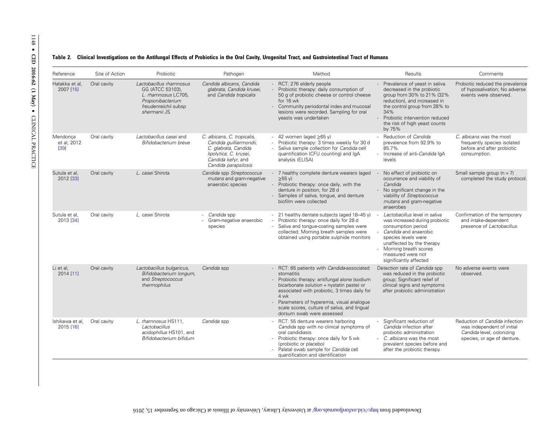## <span id="page-5-0"></span>Table 2. Clinical Investigations on the Antifungal Effects of Probiotics in the Oral Cavity, Urogenital Tract, and Gastrointestinal Tract of Humans

| Reference                         | Site of Action | Probiotic                                                                                                                       | Pathogen                                                                                                                                               | Method                                                                                                                                                                                                                                                                                                                                  | Results                                                                                                                                                                                                                                          | Comments                                                                                                                 |
|-----------------------------------|----------------|---------------------------------------------------------------------------------------------------------------------------------|--------------------------------------------------------------------------------------------------------------------------------------------------------|-----------------------------------------------------------------------------------------------------------------------------------------------------------------------------------------------------------------------------------------------------------------------------------------------------------------------------------------|--------------------------------------------------------------------------------------------------------------------------------------------------------------------------------------------------------------------------------------------------|--------------------------------------------------------------------------------------------------------------------------|
| Hatakka et al,<br>2007 [15]       | Oral cavity    | Lactobacillus rhamnosus<br>GG (ATCC 53103),<br>L. rhamnosus LC705,<br>Propionibacterium<br>freudenreichii subsp<br>shermanii JS | Candida albicans, Candida<br>glabrata, Candida krusei,<br>and Candida tropicalis                                                                       | - RCT: 276 elderly people<br>Probiotic therapy: daily consumption of<br>50 g of probiotic cheese or control cheese<br>for 16 wk<br>- Community periodontal index and mucosal<br>lesions were recorded. Sampling for oral<br>yeasts was undertaken                                                                                       | Prevalence of yeast in saliva<br>decreased in the probiotic<br>group from 30% to 21% (32%<br>reduction), and increased in<br>the control group from 28% to<br>34%<br>- Probiotic intervention reduced<br>the risk of high yeast counts<br>by 75% | Probiotic reduced the prevalence<br>of hyposalivation; No adverse<br>events were observed.                               |
| Mendonca<br>et al. 2012<br>$[39]$ | Oral cavity    | Lactobacillus casei and<br>Bifidobacterium breve                                                                                | C. albicans, C. tropicalis,<br>Candida quilliermondii,<br>C. glabrata, Candida<br>lipolytica, C. krusei,<br>Candida kefyr, and<br>Candida parapsilosis | - 42 women (aged $\geq 65$ y)<br>- Probiotic therapy: 3 times weekly for 30 d<br>Saliva sample collection for Candida cell<br>quantification (CFU counting) and IqA<br>analysis (ELISA)                                                                                                                                                 | Reduction of Candida<br>prevalence from 92.9% to<br>85.7%<br>- Increase of anti-Candida IqA<br>levels                                                                                                                                            | C. albicans was the most<br>frequently species isolated<br>before and after probiotic<br>consumption.                    |
| Sutula et al,<br>2012 [33]        | Oral cavity    | L. casei Shirota                                                                                                                | Candida spp Streptococcus<br>mutans and gram-negative<br>anaerobic species                                                                             | - 7 healthy complete denture wearers (aged<br>$\geq 55 \text{ V}$<br>- Probiotic therapy: once daily, with the<br>denture in position, for 28 d<br>Samples of saliva, tongue, and denture<br>biofilm were collected                                                                                                                     | No effect of probiotic on<br>occurrence and viability of<br>Candida<br>- No significant change in the<br>viability of Streptococcus<br>mutans and gram-negative<br>anaerobes                                                                     | Small sample group $(n = 7)$<br>completed the study protocol.                                                            |
| Sutula et al.<br>2013 [34]        | Oral cavity    | L. casei Shirota                                                                                                                | Candida spp<br>Gram-negative anaerobic<br>species                                                                                                      | 21 healthy dentate subjects (aged 18-45 y)<br>Probiotic therapy: once daily for 28 d<br>Saliva and tonque-coating samples were<br>collected; Morning breath samples were<br>obtained using portable sulphide monitors                                                                                                                   | Lactobacillus level in saliva<br>was increased during probiotic<br>consumption period<br>Candida and anaerobic<br>species levels were<br>unaffected by the therapy<br>- Morning breath scores<br>measured were not<br>significantly affected     | Confirmation of the temporary<br>and intake-dependent<br>presence of Lactobacillus.                                      |
| Li et al,<br>2014 [11]            | Oral cavity    | Lactobacillus bulgaricus,<br>Bifidobacterium longum,<br>and Streptococcus<br>thermophilus                                       | Candida spp                                                                                                                                            | - RCT: 65 patients with Candida-associated<br>stomatitis<br>Probiotic therapy: antifungal alone (sodium<br>bicarbonate solution + nystatin paste) or<br>associated with probiotic, 3 times daily for<br>4 wk<br>- Parameters of hyperemia, visual analogue<br>scale scores, culture of saliva, and lingual<br>dorsum swab were assessed | Detection rate of Candida spp<br>was reduced in the probiotic<br>group; Significant relief of<br>clinical signs and symptoms<br>after probiotic administration                                                                                   | No adverse events were<br>observed.                                                                                      |
| Ishikawa et al,<br>2015 [16]      | Oral cavity    | L. rhamnosus HS111,<br>Lactobacillus<br>acidophillus HS101, and<br>Bifidobacterium bifidum                                      | Candida spp                                                                                                                                            | - RCT: 55 denture wearers harboring<br>Candida spp with no clinical symptoms of<br>oral candidiasis<br>- Probiotic therapy: once daily for 5 wk<br>(probiotic or placebo)<br>- Palatal swab sample for Candida cell<br>quantification and identification                                                                                | Significant reduction of<br>Candida infection after<br>probiotic administration<br>- C. albicans was the most<br>prevalent species before and<br>after the probiotic therapy                                                                     | Reduction of Candida infection<br>was independent of initial<br>Candida level, colonizing<br>species, or age of denture. |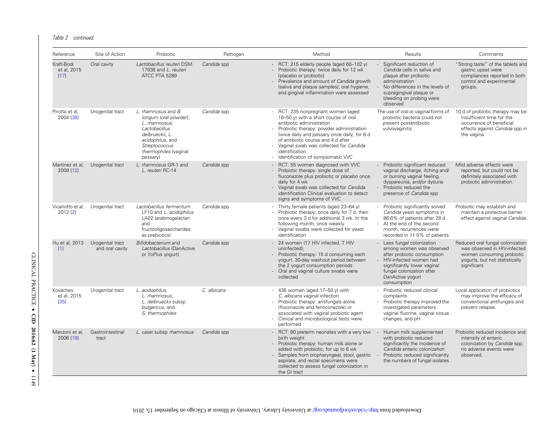Table 2 continued.

| Reference                         | Site of Action                      | Probiotic                                                                                                                                                                   | Pathogen    | Method                                                                                                                                                                                                                                                                                                                                    | Results                                                                                                                                                                                                          | Comments                                                                                                                                        |
|-----------------------------------|-------------------------------------|-----------------------------------------------------------------------------------------------------------------------------------------------------------------------------|-------------|-------------------------------------------------------------------------------------------------------------------------------------------------------------------------------------------------------------------------------------------------------------------------------------------------------------------------------------------|------------------------------------------------------------------------------------------------------------------------------------------------------------------------------------------------------------------|-------------------------------------------------------------------------------------------------------------------------------------------------|
| Kraft-Bodi<br>et al, 2015<br>[17] | Oral cavity                         | Lactobacillus reuteri DSM<br>17938 and L. reuteri<br>ATCC PTA 5289                                                                                                          | Candida spp | - RCT: 215 elderly people (aged $60-102$ y)<br>- Probiotic therapy: twice daily for 12 wk<br>(placebo or probiotic)<br>Prevalence and amount of Candida growth<br>(saliva and plaque samples), oral hygiene,<br>and gingival inflammation were assessed                                                                                   | Significant reduction of<br>Candida cells in saliva and<br>plaque after probiotic<br>administration<br>No differences in the levels of<br>supragingival plaque or<br>bleeding on probing were<br>observed        | "Strong taste" of the tablets and<br>qastric upset were<br>compliances reported in both<br>control and experimental<br>groups.                  |
| Pirotta et al,<br>2004 [38]       | Urogenital tract                    | L. rhamnosus and B.<br>longum (oral powder);<br>L. rhamnosus,<br>Lactobacillus<br>delbrueckii, L.<br>acidophilus, and<br>Streptococcus<br>thermophiles (vaginal<br>pessary) | Candida spp | RCT: 235 nonpregnant women (aged<br>18-50 y) with a short course of oral<br>antibiotic administration<br>Probiotic therapy: powder administration<br>twice daily and pessary once daily, for 6 d<br>of antibiotic course and 4 d after<br>- Vaginal swab was collected for Candida<br>identification<br>Identification of symptomatic VVC | The use of oral or vaginal forms of<br>probiotic bacteria could not<br>prevent postantibiotic<br>vulvovaginitis                                                                                                  | 10 d of probiotic therapy may be<br>insufficient time for the<br>occurrence of beneficial<br>effects against Candida spp in<br>the vagina.      |
| Martinez et al,<br>2009 [12]      | Urogenital tract                    | L. rhamnosus GR-1 and<br>L. reuteri RC-14                                                                                                                                   | Candida spp | RCT: 55 women diagnosed with VVC<br>Probiotic therapy: single dose of<br>fluconazole plus probiotic or placebo once<br>daily for 4 wk<br>Vaginal swab was collected for Candida<br>identification Clinical evaluation to detect<br>signs and symptoms of VVC                                                                              | Probiotic significant reduced<br>vaginal discharge, itching and/<br>or burning vaginal feeling,<br>dyspareunia, and/or dysuria<br>Probiotic reduced the<br>presence of Candida spp                               | Mild adverse effects were<br>reported, but could not be<br>definitely associated with<br>probiotic administration.                              |
| 2012 [2]                          | Vicariotto et al, Urogenital tract  | Lactobacillus fermentum<br>LF10 and L. acidophilus<br>LA02 (arabinogalactan<br>and<br>fructooligosaccharides<br>as prebiotics)                                              | Candida spp | - Thirty female patients (aged 23-64 y)<br>Probiotic therapy: once daily for 7 d, then<br>once every 3 d for additional 3 wk. In the<br>following month, once weekly<br>- Vaginal swabs were collected for yeast<br>identification                                                                                                        | - Probiotic significantly solved<br>Candida yeast symptoms in<br>86.6% of patients after 28 d<br>- At the end of the second<br>month, recurrences were<br>recorded in 11.5% of patients                          | Probiotic may establish and<br>maintain a protective barrier<br>effect against vaginal Candida.                                                 |
| Hu et al, 2013<br>$[1]$           | Urogenital tract<br>and oral cavity | Bifidobacterium and<br>Lactobacillus (DanActive<br>or YoPlus yogurt)                                                                                                        | Candida spp | - 24 women (17 HIV infected, 7 HIV<br>uninfected);<br>Probiotic therapy: 15 d consuming each<br>yogurt. 30-day washout period between<br>the 2 yogurt consumption periods<br>Oral and vaginal culture swabs were<br>collected                                                                                                             | - Less fungal colonization<br>among women was observed<br>after probiotic consumption<br>- HIV-infected women had<br>significantly lower vaginal<br>fungal colonization after<br>DanActive yogurt<br>consumption | Reduced oral fungal colonization<br>was observed in HIV-infected<br>women consuming probiotic<br>yogurts, but not statistically<br>significant. |
| Kovachev<br>et al, 2015<br>$[35]$ | Urogenital tract                    | L. acidophilus,<br>L. rhamnosus.<br>L. delbrueckii subsp<br>bulgaricus, and<br>S. thermophiles                                                                              | C. albicans | - 436 women (aged $17-50$ y) with<br>C. albicans vaginal infection<br>Probiotic therapy: antifungals alone<br>(fluconazole and fenticonazole) or<br>associated with vaginal probiotic agent<br>Clinical and microbiological tests were<br>performed                                                                                       | - Probiotic reduced clinical<br>complaints<br>- Probiotic therapy improved the<br>investigated parameters:<br>vaginal fluorine, vaginal tissue<br>changes, and pH                                                | Local application of probiotics<br>may improve the efficacy of<br>conventional antifungals and<br>prevent relapse.                              |
| Manzoni et al,<br>2006 [19]       | Gastrointestinal<br>tract           | L. casei subsp rhamnosus                                                                                                                                                    | Candida spp | - RCT: 80 preterm neonates with a very low<br>birth weight<br>- Probiotic therapy: human milk alone or<br>added with probiotic, for up to 6 wk<br>Samples from oropharyngeal, stool, gastric<br>aspirate, and rectal specimens were<br>collected to assess fungal colonization in<br>the GI tract                                         | Human milk supplemented<br>with probiotic reduced<br>significantly the incidence of<br>Candida enteric colonization<br>Probiotic reduced significantly<br>the numbers of fungal isolates                         | Probiotic reduced incidence and<br>intensity of enteric<br>colonization by Candida spp;<br>no adverse events were<br>observed.                  |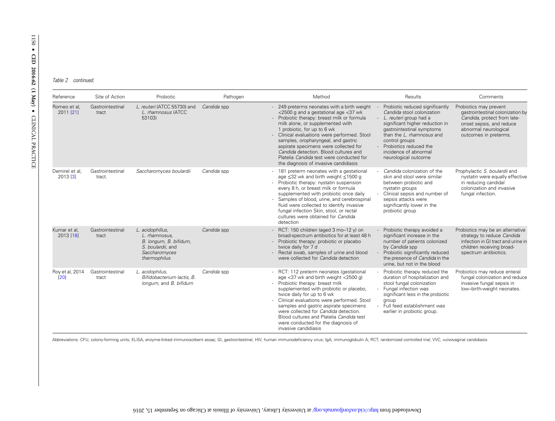Table 2 continued.

| Reference                  | Site of Action             | Probiotic                                                                                                         | Pathogen    | Method                                                                                                                                                                                                                                                                                                                                                                                                                                                            | Results                                                                                                                                                                                                                                                                           | Comments                                                                                                                                                                |
|----------------------------|----------------------------|-------------------------------------------------------------------------------------------------------------------|-------------|-------------------------------------------------------------------------------------------------------------------------------------------------------------------------------------------------------------------------------------------------------------------------------------------------------------------------------------------------------------------------------------------------------------------------------------------------------------------|-----------------------------------------------------------------------------------------------------------------------------------------------------------------------------------------------------------------------------------------------------------------------------------|-------------------------------------------------------------------------------------------------------------------------------------------------------------------------|
| Romeo et al,<br>2011 [21]  | Gastrointestinal<br>tract  | L. reuteri (ATCC 55730) and<br>L. rhamnosus (ATCC<br>53103)                                                       | Candida spp | - 249 preterms neonates with a birth weight<br><2500 g and a gestational age <37 wk<br>Probiotic therapy: breast milk or formula<br>milk alone, or supplemented with<br>1 probiotic, for up to 6 wk<br>- Clinical evaluations were performed. Stool<br>samples, oropharyngeal, and gastric<br>aspirate specimens were collected for<br>Candida detection. Blood cultures and<br>Platelia Candida test were conducted for<br>the diagnosis of invasive candidiasis | Probiotic reduced significantly<br>Candida stool colonization<br>L. reuteri group had a<br>significant higher reduction in<br>gastrointestinal symptoms<br>than the L. rhamnosus and<br>control groups<br>Probiotics reduced the<br>incidence of abnormal<br>neurological outcome | Probiotics may prevent<br>gastrointestinal colonization by<br>Candida, protect from late-<br>onset sepsis, and reduce<br>abnormal neurological<br>outcomes in preterms. |
| Demirel et al,<br>2013 [3] | Gastrointestinal<br>tract. | Saccharomyces boulardii                                                                                           | Candida spp | 181 preterm neonates with a gestational<br>age ≤32 wk and birth weight ≤1500 g<br>- Probiotic therapy: nystatin suspension<br>every 8 h, or breast milk or formula<br>supplemented with probiotic once daily<br>Samples of blood, urine, and cerebrospinal<br>fluid were collected to identify invasive<br>fungal infection Skin, stool, or rectal<br>cultures were obtained for Candida<br>detection                                                             | Candida colonization of the<br>skin and stool were similar<br>between probiotic and<br>nystatin groups<br>Clinical sepsis and number of<br>sepsis attacks were<br>significantly lower in the<br>probiotic group                                                                   | Prophylactic S. boulardii and<br>nystatin were equally effective<br>in reducing candidal<br>colonization and invasive<br>fungal infection.                              |
| Kumar et al,<br>2013 [18]  | Gastrointestinal<br>tract  | L. acidophillus,<br>L. rhamnosus,<br>B. longum, B. bifidum,<br>S. boulardii, and<br>Saccharomyces<br>thermophilus | Candida spp | - RCT: 150 children (aged $3 \text{ mo}-12 \text{ y}$ ) on<br>broad-spectrum antibiotics for at least 48 h<br>- Probiotic therapy: probiotic or placebo<br>twice daily for 7 d<br>Rectal swab, samples of urine and blood<br>were collected for Candida detection                                                                                                                                                                                                 | Probiotic therapy avoided a<br>significant increase in the<br>number of patients colonized<br>by Candida spp<br>Probiotic significantly reduced<br>the presence of Candida in the<br>urine, but not in the blood                                                                  | Probiotics may be an alternative<br>strategy to reduce Candida<br>infection in GI tract and urine in<br>children receiving broad-<br>spectrum antibiotics.              |
| Roy et al, 2014<br>[20]    | Gastrointestinal<br>tract  | L. acidophilus,<br>Bifidobacterium lactis, B.<br>longum, and B. bifidum                                           | Candida spp | RCT: 112 preterm neonates (gestational<br>age <37 wk and birth weight <2500 g)<br>Probiotic therapy: breast milk<br>supplemented with probiotic or placebo,<br>twice daily for up to 6 wk<br>- Clinical evaluations were performed. Stool<br>samples and gastric aspirate specimens<br>were collected for Candida detection.<br>Blood cultures and Platelia Candida test<br>were conducted for the diagnosis of<br>invasive candidiasis                           | Probiotic therapy reduced the<br>duration of hospitalization and<br>stool fungal colonization<br>Fungal infection was<br>significant less in the probiotic<br>aroup<br>Full feed establishment was<br>earlier in probiotic group.                                                 | Probiotics may reduce enteral<br>fungal colonization and reduce<br>invasive fungal sepsis in<br>low-birth-weight neonates.                                              |

Abbreviations: CFU, colony-forming units; ELISA, enzyme-linked immunosorbent assay; GI, gastrointestinal; HIV, human immunodeficiency virus; IgA, immunoglobulin A; RCT, randomized controlled trial; VVC, vulvovaginal candid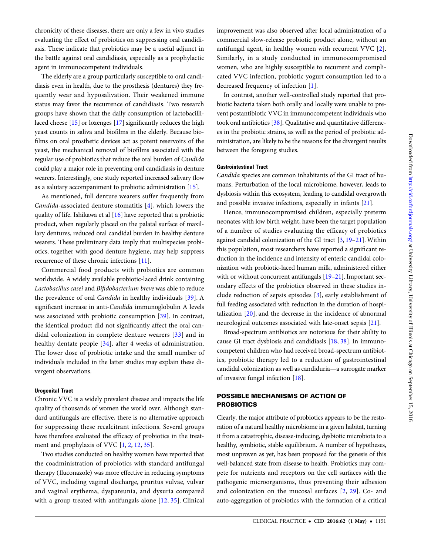chronicity of these diseases, there are only a few in vivo studies evaluating the effect of probiotics on suppressing oral candidiasis. These indicate that probiotics may be a useful adjunct in the battle against oral candidiasis, especially as a prophylactic agent in immunocompetent individuals.

The elderly are a group particularly susceptible to oral candidiasis even in health, due to the prosthesis (dentures) they frequently wear and hyposalivation. Their weakened immune status may favor the recurrence of candidiasis. Two research groups have shown that the daily consumption of lactobacillilaced cheese [[15\]](#page-10-0) or lozenges [\[17](#page-10-0)] significantly reduces the high yeast counts in saliva and biofilms in the elderly. Because biofilms on oral prosthetic devices act as potent reservoirs of the yeast, the mechanical removal of biofilms associated with the regular use of probiotics that reduce the oral burden of Candida could play a major role in preventing oral candidiasis in denture wearers. Interestingly, one study reported increased salivary flow as a salutary accompaniment to probiotic administration [\[15](#page-10-0)].

As mentioned, full denture wearers suffer frequently from Candida-associated denture stomatitis [[4](#page-9-0)], which lowers the quality of life. Ishikawa et al [\[16](#page-10-0)] have reported that a probiotic product, when regularly placed on the palatal surface of maxillary dentures, reduced oral candidal burden in healthy denture wearers. These preliminary data imply that multispecies probiotics, together with good denture hygiene, may help suppress recurrence of these chronic infections [[11](#page-9-0)].

Commercial food products with probiotics are common worldwide. A widely available probiotic-laced drink containing Lactobacillus casei and Bifidobacterium breve was able to reduce the prevalence of oral Candida in healthy individuals [\[39\]](#page-10-0). A significant increase in anti-Candida immunoglobulin A levels was associated with probiotic consumption [[39\]](#page-10-0). In contrast, the identical product did not significantly affect the oral candidal colonization in complete denture wearers [\[33\]](#page-10-0) and in healthy dentate people [[34](#page-10-0)], after 4 weeks of administration. The lower dose of probiotic intake and the small number of individuals included in the latter studies may explain these divergent observations.

## Urogenital Tract

Chronic VVC is a widely prevalent disease and impacts the life quality of thousands of women the world over. Although standard antifungals are effective, there is no alternative approach for suppressing these recalcitrant infections. Several groups have therefore evaluated the efficacy of probiotics in the treat-ment and prophylaxis of VVC [[1](#page-9-0), [2](#page-9-0), [12](#page-9-0), [35\]](#page-10-0).

Two studies conducted on healthy women have reported that the coadministration of probiotics with standard antifungal therapy (fluconazole) was more effective in reducing symptoms of VVC, including vaginal discharge, pruritus vulvae, vulvar and vaginal erythema, dyspareunia, and dysuria compared with a group treated with antifungals alone [[12](#page-9-0), [35\]](#page-10-0). Clinical improvement was also observed after local administration of a commercial slow-release probiotic product alone, without an antifungal agent, in healthy women with recurrent VVC [[2](#page-9-0)]. Similarly, in a study conducted in immunocompromised women, who are highly susceptible to recurrent and complicated VVC infection, probiotic yogurt consumption led to a decreased frequency of infection [\[1\]](#page-9-0).

In contrast, another well-controlled study reported that probiotic bacteria taken both orally and locally were unable to prevent postantibiotic VVC in immunocompetent individuals who took oral antibiotics [[38\]](#page-10-0). Qualitative and quantitative differences in the probiotic strains, as well as the period of probiotic administration, are likely to be the reasons for the divergent results between the foregoing studies.

## Gastrointestinal Tract

Candida species are common inhabitants of the GI tract of humans. Perturbation of the local microbiome, however, leads to dysbiosis within this ecosystem, leading to candidal overgrowth and possible invasive infections, especially in infants [[21\]](#page-10-0).

Hence, immunocompromised children, especially preterm neonates with low birth weight, have been the target population of a number of studies evaluating the efficacy of probiotics against candidal colonization of the GI tract [\[3,](#page-9-0) [19](#page-10-0)–[21\]](#page-10-0). Within this population, most researchers have reported a significant reduction in the incidence and intensity of enteric candidal colonization with probiotic-laced human milk, administered either with or without concurrent antifungals [[19](#page-10-0)-[21\]](#page-10-0). Important secondary effects of the probiotics observed in these studies include reduction of sepsis episodes [\[3\]](#page-9-0), early establishment of full feeding associated with reduction in the duration of hospitalization [[20\]](#page-10-0), and the decrease in the incidence of abnormal neurological outcomes associated with late-onset sepsis [[21\]](#page-10-0).

Broad-spectrum antibiotics are notorious for their ability to cause GI tract dysbiosis and candidiasis [\[18,](#page-10-0) [38](#page-10-0)]. In immunocompetent children who had received broad-spectrum antibiotics, probiotic therapy led to a reduction of gastrointestinal candidal colonization as well as candiduria—a surrogate marker of invasive fungal infection [[18\]](#page-10-0).

## POSSIBLE MECHANISMS OF ACTION OF **PROBIOTICS**

Clearly, the major attribute of probiotics appears to be the restoration of a natural healthy microbiome in a given habitat, turning it from a catastrophic, disease-inducing, dysbiotic microbiota to a healthy, symbiotic, stable equilibrium. A number of hypotheses, most unproven as yet, has been proposed for the genesis of this well-balanced state from disease to health. Probiotics may compete for nutrients and receptors on the cell surfaces with the pathogenic microorganisms, thus preventing their adhesion and colonization on the mucosal surfaces [[2,](#page-9-0) [29\]](#page-10-0). Co- and auto-aggregation of probiotics with the formation of a critical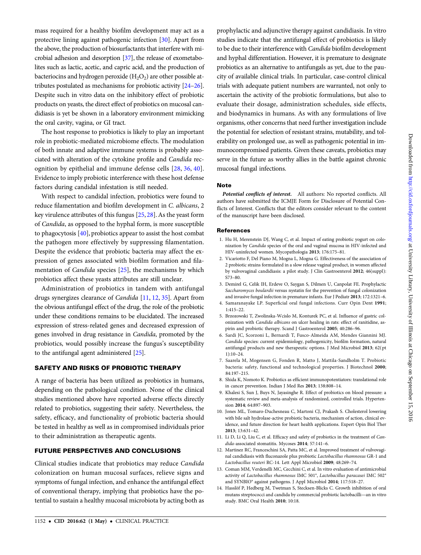<span id="page-9-0"></span>mass required for a healthy biofilm development may act as a protective lining against pathogenic infection [[30\]](#page-10-0). Apart from the above, the production of biosurfactants that interfere with microbial adhesion and desorption [[37\]](#page-10-0), the release of exometabolites such as lactic, acetic, and capric acid, and the production of bacteriocins and hydrogen peroxide  $(H_2O_2)$  are other possible attributes postulated as mechanisms for probiotic activity [\[24](#page-10-0)–[26\]](#page-10-0). Despite such in vitro data on the inhibitory effect of probiotic products on yeasts, the direct effect of probiotics on mucosal candidiasis is yet be shown in a laboratory environment mimicking the oral cavity, vagina, or GI tract.

The host response to probiotics is likely to play an important role in probiotic-mediated microbiome effects. The modulation of both innate and adaptive immune systems is probably associated with alteration of the cytokine profile and Candida recognition by epithelial and immune defense cells [\[28,](#page-10-0) [36](#page-10-0), [40](#page-10-0)]. Evidence to imply probiotic interference with these host defense factors during candidal infestation is still needed.

With respect to candidal infection, probiotics were found to reduce filamentation and biofilm development in C. albicans, 2 key virulence attributes of this fungus [[25,](#page-10-0) [28](#page-10-0)]. As the yeast form of Candida, as opposed to the hyphal form, is more susceptible to phagocytosis [[40\]](#page-10-0), probiotics appear to assist the host combat the pathogen more effectively by suppressing filamentation. Despite the evidence that probiotic bacteria may affect the expression of genes associated with biofilm formation and filamentation of Candida species [[25\]](#page-10-0), the mechanisms by which probiotics affect these yeasts attributes are still unclear.

Administration of probiotics in tandem with antifungal drugs synergizes clearance of Candida [11, 12, [35\]](#page-10-0). Apart from the obvious antifungal effect of the drug, the role of the probiotic under these conditions remains to be elucidated. The increased expression of stress-related genes and decreased expression of genes involved in drug resistance in Candida, promoted by the probiotics, would possibly increase the fungus's susceptibility to the antifungal agent administered [\[25](#page-10-0)].

## SAFETY AND RISKS OF PROBIOTIC THERAPY

A range of bacteria has been utilized as probiotics in humans, depending on the pathological condition. None of the clinical studies mentioned above have reported adverse effects directly related to probiotics, suggesting their safety. Nevertheless, the safety, efficacy, and functionality of probiotic bacteria should be tested in healthy as well as in compromised individuals prior to their administration as therapeutic agents.

## FUTURE PERSPECTIVES AND CONCLUSIONS

Clinical studies indicate that probiotics may reduce Candida colonization on human mucosal surfaces, relieve signs and symptoms of fungal infection, and enhance the antifungal effect of conventional therapy, implying that probiotics have the potential to sustain a healthy mucosal microbiota by acting both as prophylactic and adjunctive therapy against candidiasis. In vitro studies indicate that the antifungal effect of probiotics is likely to be due to their interference with Candida biofilm development and hyphal differentiation. However, it is premature to designate probiotics as an alternative to antifungals as yet, due to the paucity of available clinical trials. In particular, case-control clinical trials with adequate patient numbers are warranted, not only to ascertain the activity of the probiotic formulations, but also to evaluate their dosage, administration schedules, side effects, and biodynamics in humans. As with any formulations of live organisms, other concerns that need further investigation include the potential for selection of resistant strains, mutability, and tolerability on prolonged use, as well as pathogenic potential in immunocompromised patients. Given these caveats, probiotics may serve in the future as worthy allies in the battle against chronic mucosal fungal infections.

## Note

Potential conflicts of interest. All authors: No reported conflicts. All authors have submitted the ICMJE Form for Disclosure of Potential Conflicts of Interest. Conflicts that the editors consider relevant to the content of the manuscript have been disclosed.

### References

- 1. Hu H, Merenstein DJ, Wang C, et al. Impact of eating probiotic yogurt on colonization by Candida species of the oral and vaginal mucosa in HIV-infected and HIV-uninfected women. Mycopathologia 2013; 176:175–81.
- 2. Vicariotto F, Del Piano M, Mogna L, Mogna G. Effectiveness of the association of 2 probiotic strains formulated in a slow release vaginal product, in women affected by vulvovaginal candidiasis: a pilot study. J Clin Gastroenterol 2012; 46(suppl): S73–80.
- 3. Demirel G, Celik IH, Erdeve O, Saygan S, Dilmen U, Canpolat FE. Prophylactic Saccharomyces boulardii versus nystatin for the prevention of fungal colonization and invasive fungal infection in premature infants. Eur J Pediatr 2013; 172:1321–6.
- 4. Samaranayake LP. Superficial oral fungal infections. Curr Opin Dent 1991; 1:415–22.
- 5. Brzozowski T, Zwolinska-Wcislo M, Konturek PC, et al. Influence of gastric colonization with Candida albicans on ulcer healing in rats: effect of ranitidine, aspirin and probiotic therapy. Scand J Gastroenterol 2005; 40:286–96.
- 6. Sardi JC, Scorzoni L, Bernardi T, Fusco-Almeida AM, Mendes Giannini MJ. Candida species: current epidemiology, pathogenicity, biofilm formation, natural antifungal products and new therapeutic options. J Med Microbiol 2013; 62(pt 1):10–24.
- 7. Saarela M, Mogensen G, Fonden R, Matto J, Mattila-Sandholm T. Probiotic bacteria: safety, functional and technological properties. J Biotechnol 2000; 84:197–215.
- 8. Shida K, Nomoto K. Probiotics as efficient immunopotentiators: translational role in cancer prevention. Indian J Med Res 2013; 138:808–14.
- 9. Khalesi S, Sun J, Buys N, Jayasinghe R. Effect of probiotics on blood pressure: a systematic review and meta-analysis of randomized, controlled trials. Hypertension 2014; 64:897–903.
- 10. Jones ML, Tomaro-Duchesneau C, Martoni CJ, Prakash S. Cholesterol lowering with bile salt hydrolase-active probiotic bacteria, mechanism of action, clinical evidence, and future direction for heart health applications. Expert Opin Biol Ther 2013; 13:631–42.
- 11. Li D, Li Q, Liu C, et al. Efficacy and safety of probiotics in the treatment of Candida-associated stomatitis. Mycoses 2014; 57:141-6.
- 12. Martinez RC, Franceschini SA, Patta MC, et al. Improved treatment of vulvovaginal candidiasis with fluconazole plus probiotic Lactobacillus rhamnosus GR-1 and Lactobacillus reuteri RC-14. Lett Appl Microbiol 2009; 48:269–74.
- 13. Coman MM, Verdenelli MC, Cecchini C, et al. In vitro evaluation of antimicrobial activity of Lactobacillus rhamnosus IMC 501®, Lactobacillus paracasei IMC 502® and SYNBIO® against pathogens. J Appl Microbiol 2014; 117:518–27.
- 14. Hasslöf P, Hedberg M, Twetman S, Stecksen-Blicks C. Growth inhibition of oral mutans streptococci and candida by commercial probiotic lactobacilli—an in vitro study. BMC Oral Health 2010; 10:18.